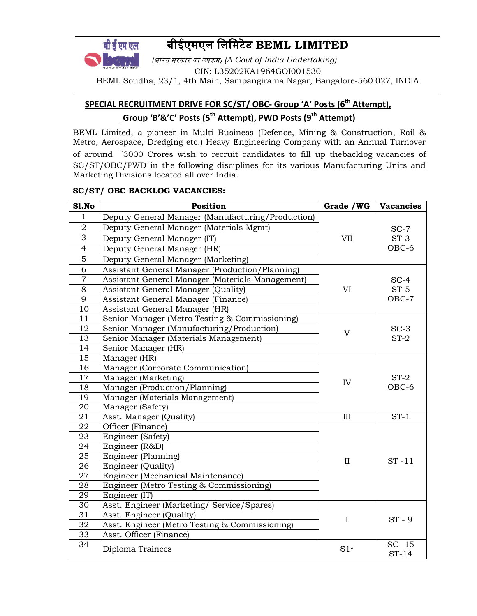# बीईएमएल िलिमटेड BEML LIMITED

**• सारत सरकार का उपक्रम) (A Govt of India Undertaking)** CIN: L35202KA1964GOI001530 BEML Soudha, 23/1, 4th Main, Sampangirama Nagar, Bangalore-560 027, INDIA

## SPECIAL RECRUITMENT DRIVE FOR SC/ST/ OBC- Group 'A' Posts (6<sup>th</sup> Attempt), Group 'B'&'C' Posts (5<sup>th</sup> Attempt), PWD Posts (9<sup>th</sup> Attempt)

BEML Limited, a pioneer in Multi Business (Defence, Mining & Construction, Rail & Metro, Aerospace, Dredging etc.) Heavy Engineering Company with an Annual Turnover of around 3000 Crores wish to recruit candidates to fill up thebacklog vacancies of SC/ST/OBC/PWD in the following disciplines for its various Manufacturing Units and Marketing Divisions located all over India.

#### SC/ST/ OBC BACKLOG VACANCIES:

बी डे एम एल

| Sl.No           | Position                                            | Grade / WG   | <b>Vacancies</b> |  |
|-----------------|-----------------------------------------------------|--------------|------------------|--|
| $\mathbf{1}$    | Deputy General Manager (Manufacturing/Production)   |              |                  |  |
| $\overline{2}$  | Deputy General Manager (Materials Mgmt)             |              | $SC-7$           |  |
| $\overline{3}$  | Deputy General Manager (IT)                         | <b>VII</b>   | $ST-3$           |  |
| $\overline{4}$  | Deputy General Manager (HR)                         | OBC-6        |                  |  |
| 5               | Deputy General Manager (Marketing)                  |              |                  |  |
| 6               | Assistant General Manager (Production/Planning)     |              |                  |  |
| $\overline{7}$  | Assistant General Manager (Materials Management)    |              | $SC-4$           |  |
| 8               | $ST-5$<br>Assistant General Manager (Quality)<br>VI |              |                  |  |
| 9               | Assistant General Manager (Finance)                 | OBC-7        |                  |  |
| 10              | Assistant General Manager (HR)                      |              |                  |  |
| 11              | Senior Manager (Metro Testing & Commissioning)      |              |                  |  |
| 12              | Senior Manager (Manufacturing/Production)           | $\mathbf V$  | $SC-3$           |  |
| 13              | Senior Manager (Materials Management)               |              | $ST-2$           |  |
| 14              | Senior Manager (HR)                                 |              |                  |  |
| 15              | Manager (HR)                                        |              |                  |  |
| 16              | Manager (Corporate Communication)                   |              |                  |  |
| 17              | Manager (Marketing)                                 | IV           | $ST-2$           |  |
| 18              | Manager (Production/Planning)                       |              | OBC-6            |  |
| 19              | Manager (Materials Management)                      |              |                  |  |
| 20              | Manager (Safety)                                    |              |                  |  |
| 21              | Asst. Manager (Quality)                             | III          | $ST-1$           |  |
| 22              | Officer (Finance)                                   |              |                  |  |
| 23              | Engineer (Safety)                                   |              |                  |  |
| 24              | Engineer (R&D)                                      |              |                  |  |
| 25              | Engineer (Planning)                                 | $\mathbf{I}$ | $ST - 11$        |  |
| 26              | Engineer (Quality)                                  |              |                  |  |
| 27              | Engineer (Mechanical Maintenance)                   |              |                  |  |
| 28              | Engineer (Metro Testing & Commissioning)            |              |                  |  |
| 29              | Engineer (IT)                                       |              |                  |  |
| 30              | Asst. Engineer (Marketing/ Service/Spares)          |              |                  |  |
| 31              | Asst. Engineer (Quality)                            | $\mathbf I$  | $ST - 9$         |  |
| 32              | Asst. Engineer (Metro Testing & Commissioning)      |              |                  |  |
| $\overline{33}$ | Asst. Officer (Finance)                             |              |                  |  |
| 34              | Diploma Trainees                                    | $S1*$        | SC-15<br>$ST-14$ |  |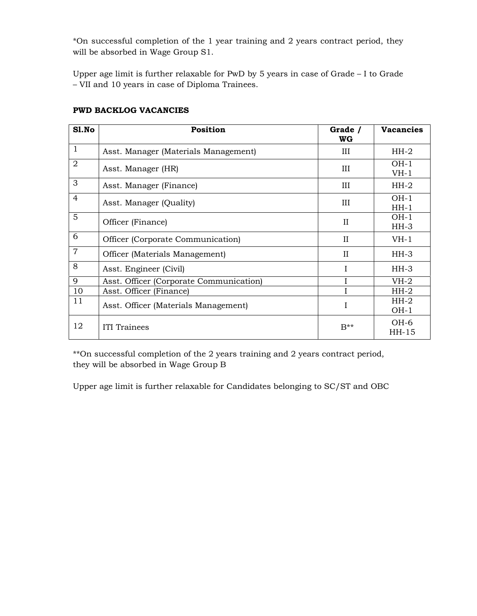\*On successful completion of the 1 year training and 2 years contract period, they will be absorbed in Wage Group S1.

Upper age limit is further relaxable for PwD by 5 years in case of Grade – I to Grade – VII and 10 years in case of Diploma Trainees.

| Sl.No          | <b>Position</b>                         | Grade /<br>WG  | <b>Vacancies</b>  |
|----------------|-----------------------------------------|----------------|-------------------|
| 1              | Asst. Manager (Materials Management)    | Ш              | $HH-2$            |
| $\overline{2}$ | Asst. Manager (HR)                      | III            | $OH-1$<br>$VH-1$  |
| 3              | III<br>Asst. Manager (Finance)          |                | $HH-2$            |
| $\overline{4}$ | III<br>Asst. Manager (Quality)          |                | $OH-1$<br>$HH-1$  |
| 5              | Officer (Finance)<br>$_{\rm II}$        |                | $OH-1$<br>$HH-3$  |
| 6              | Officer (Corporate Communication)       | $_{\rm II}$    | $VH-1$            |
| $\overline{7}$ | Officer (Materials Management)          | $_{\rm II}$    | $HH-3$            |
| 8              | Asst. Engineer (Civil)                  | T              | $HH-3$            |
| 9              | Asst. Officer (Corporate Communication) |                | $VH-2$            |
| 10             | Asst. Officer (Finance)                 |                | $HH-2$            |
| 11             | Asst. Officer (Materials Management)    |                | $HH-2$<br>$OH-1$  |
| 12             | ITI Trainees                            | $B^{\ast\ast}$ | $OH-6$<br>$HH-15$ |

#### PWD BACKLOG VACANCIES

\*\*On successful completion of the 2 years training and 2 years contract period, they will be absorbed in Wage Group B

Upper age limit is further relaxable for Candidates belonging to SC/ST and OBC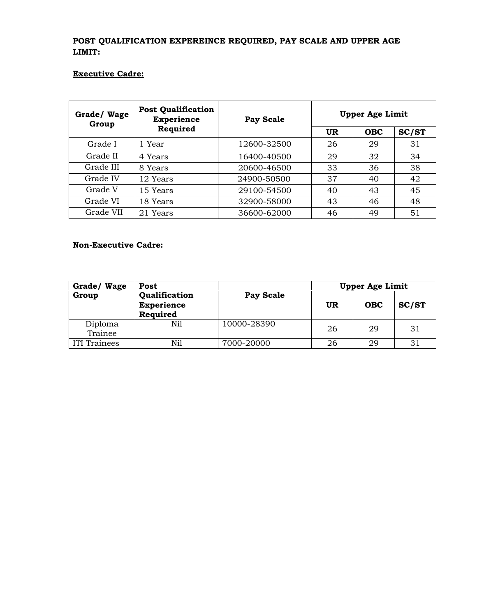## POST QUALIFICATION EXPEREINCE REQUIRED, PAY SCALE AND UPPER AGE LIMIT:

## Executive Cadre:

| Grade/Wage<br>Group | <b>Post Qualification</b><br><b>Experience</b><br>Required | Pay Scale   | <b>Upper Age Limit</b> |            |       |
|---------------------|------------------------------------------------------------|-------------|------------------------|------------|-------|
|                     |                                                            |             | UR                     | <b>OBC</b> | SC/ST |
| Grade I             | 1 Year                                                     | 12600-32500 | 26                     | 29         | 31    |
| Grade II            | 4 Years                                                    | 16400-40500 | 29                     | 32         | 34    |
| Grade III           | 8 Years                                                    | 20600-46500 | 33                     | 36         | 38    |
| Grade IV            | 12 Years                                                   | 24900-50500 | 37                     | 40         | 42    |
| Grade V             | 15 Years                                                   | 29100-54500 | 40                     | 43         | 45    |
| Grade VI            | 18 Years                                                   | 32900-58000 | 43                     | 46         | 48    |
| Grade VII           | 21 Years                                                   | 36600-62000 | 46                     | 49         | 51    |

## Non-Executive Cadre:

| Grade/Wage         | Post<br>Qualification<br><b>Experience</b><br>Required | Pay Scale   |           | <b>Upper Age Limit</b> |       |  |
|--------------------|--------------------------------------------------------|-------------|-----------|------------------------|-------|--|
| Group              |                                                        |             | <b>UR</b> | <b>OBC</b>             | SC/ST |  |
| Diploma<br>Trainee | Nil                                                    | 10000-28390 | 26        | 29                     | 31    |  |
| ITI Trainees       | Nil                                                    | 7000-20000  | 26        | 29                     | 31    |  |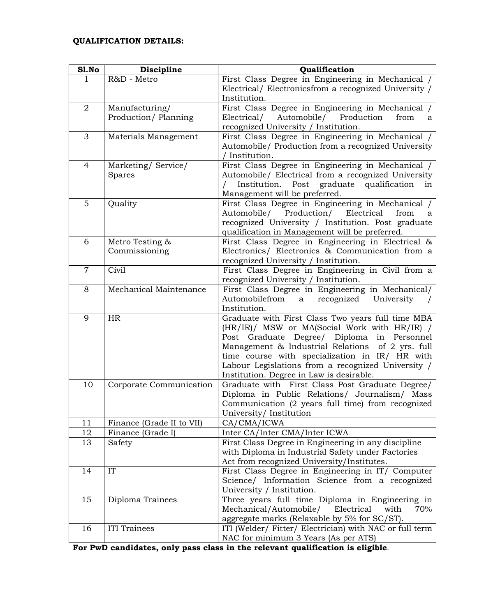## QUALIFICATION DETAILS:

| Sl.No          | Discipline                | Qualification                                                                             |
|----------------|---------------------------|-------------------------------------------------------------------------------------------|
| 1              | R&D - Metro               | First Class Degree in Engineering in Mechanical /                                         |
|                |                           | Electrical/ Electronicsfrom a recognized University /                                     |
|                |                           | Institution.                                                                              |
| $\overline{2}$ | Manufacturing/            | First Class Degree in Engineering in Mechanical /                                         |
|                | Production/Planning       | Automobile/<br>Production<br>Electrical/<br>from<br>a                                     |
|                |                           | recognized University / Institution.                                                      |
| 3              | Materials Management      | First Class Degree in Engineering in Mechanical /                                         |
|                |                           | Automobile/ Production from a recognized University                                       |
|                |                           | / Institution.                                                                            |
| 4              | Marketing/Service/        | First Class Degree in Engineering in Mechanical /                                         |
|                | Spares                    | Automobile/ Electrical from a recognized University                                       |
|                |                           | Post graduate qualification<br>$\prime$<br>Institution.<br>in                             |
|                |                           | Management will be preferred.                                                             |
| 5              | Quality                   | First Class Degree in Engineering in Mechanical /                                         |
|                |                           | Production/<br>Electrical<br>Automobile/<br>from<br>a                                     |
|                |                           | recognized University / Institution. Post graduate                                        |
|                |                           | qualification in Management will be preferred.                                            |
| 6              | Metro Testing &           | First Class Degree in Engineering in Electrical &                                         |
|                | Commissioning             | Electronics/ Electronics & Communication from a                                           |
| $\overline{7}$ | Civil                     | recognized University / Institution.<br>First Class Degree in Engineering in Civil from a |
|                |                           | recognized University / Institution.                                                      |
| 8              | Mechanical Maintenance    | First Class Degree in Engineering in Mechanical/                                          |
|                |                           | Automobilefrom<br>recognized<br>University<br>a                                           |
|                |                           | Institution.                                                                              |
| 9              | HR                        | Graduate with First Class Two years full time MBA                                         |
|                |                           | (HR/IR)/ MSW or MA(Social Work with HR/IR) /                                              |
|                |                           | Post Graduate Degree/ Diploma in Personnel                                                |
|                |                           | Management & Industrial Relations of 2 yrs. full                                          |
|                |                           | time course with specialization in IR/ HR with                                            |
|                |                           | Labour Legislations from a recognized University /                                        |
|                |                           | Institution. Degree in Law is desirable.                                                  |
| 10             | Corporate Communication   | Graduate with First Class Post Graduate Degree/                                           |
|                |                           | Diploma in Public Relations/ Journalism/ Mass                                             |
|                |                           | Communication (2 years full time) from recognized                                         |
|                |                           | University/Institution                                                                    |
| 11             | Finance (Grade II to VII) | CA/CMA/ICWA                                                                               |
| 12             | Finance (Grade I)         | Inter CA/Inter CMA/Inter ICWA                                                             |
| 13             | Safety                    | First Class Degree in Engineering in any discipline                                       |
|                |                           | with Diploma in Industrial Safety under Factories                                         |
|                |                           | Act from recognized University/Institutes.                                                |
| 14             | IT                        | First Class Degree in Engineering in IT/ Computer                                         |
|                |                           | Science/ Information Science from a recognized                                            |
|                |                           | University / Institution.                                                                 |
| 15             | Diploma Trainees          | Three years full time Diploma in Engineering in                                           |
|                |                           | Mechanical/Automobile/<br>Electrical<br>with<br>70%                                       |
|                |                           | aggregate marks (Relaxable by 5% for SC/ST).                                              |
| 16             | <b>ITI</b> Trainees       | ITI (Welder/ Fitter/ Electrician) with NAC or full term                                   |
|                |                           | NAC for minimum 3 Years (As per ATS)                                                      |

For PwD candidates, only pass class in the relevant qualification is eligible.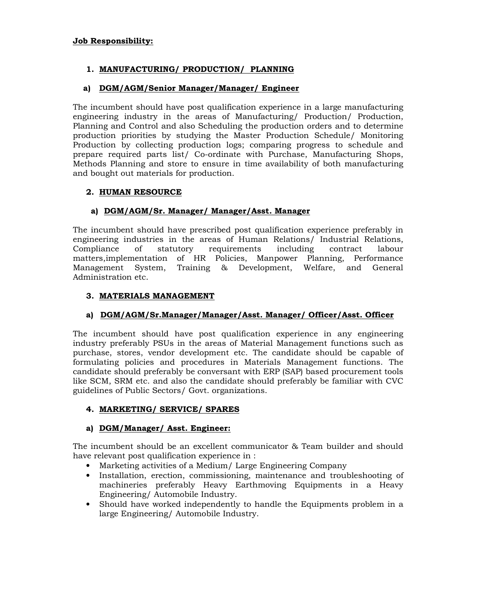#### Job Responsibility:

#### 1. MANUFACTURING/ PRODUCTION/ PLANNING

#### a) DGM/AGM/Senior Manager/Manager/ Engineer

The incumbent should have post qualification experience in a large manufacturing engineering industry in the areas of Manufacturing/ Production/ Production, Planning and Control and also Scheduling the production orders and to determine production priorities by studying the Master Production Schedule/ Monitoring Production by collecting production logs; comparing progress to schedule and prepare required parts list/ Co-ordinate with Purchase, Manufacturing Shops, Methods Planning and store to ensure in time availability of both manufacturing and bought out materials for production.

#### 2. HUMAN RESOURCE

#### a) DGM/AGM/Sr. Manager/ Manager/Asst. Manager

The incumbent should have prescribed post qualification experience preferably in engineering industries in the areas of Human Relations/ Industrial Relations, Compliance of statutory requirements including contract labour matters,implementation of HR Policies, Manpower Planning, Performance Management System, Training & Development, Welfare, and General Administration etc.

#### 3. MATERIALS MANAGEMENT

## a) DGM/AGM/Sr.Manager/Manager/Asst. Manager/ Officer/Asst. Officer

The incumbent should have post qualification experience in any engineering industry preferably PSUs in the areas of Material Management functions such as purchase, stores, vendor development etc. The candidate should be capable of formulating policies and procedures in Materials Management functions. The candidate should preferably be conversant with ERP (SAP) based procurement tools like SCM, SRM etc. and also the candidate should preferably be familiar with CVC guidelines of Public Sectors/ Govt. organizations.

#### 4. MARKETING/ SERVICE/ SPARES

#### a) DGM/Manager/ Asst. Engineer:

The incumbent should be an excellent communicator & Team builder and should have relevant post qualification experience in :

- Marketing activities of a Medium/ Large Engineering Company
- Installation, erection, commissioning, maintenance and troubleshooting of machineries preferably Heavy Earthmoving Equipments in a Heavy Engineering/ Automobile Industry.
- Should have worked independently to handle the Equipments problem in a large Engineering/ Automobile Industry.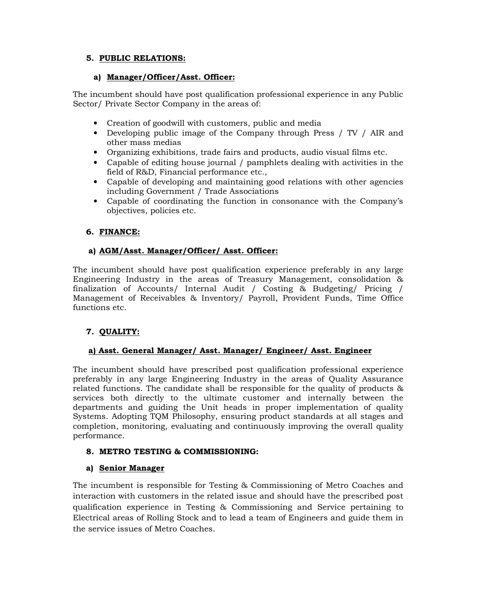## 5. PUBLIC RELATIONS:

#### a) Manager/Officer/Asst. Officer:

The incumbent should have post qualification professional experience in any Public Sector/ Private Sector Company in the areas of:

- Creation of goodwill with customers, public and media
- Developing public image of the Company through Press / TV / AIR and other mass medias
- Organizing exhibitions, trade fairs and products, audio visual films etc.
- Capable of editing house journal / pamphlets dealing with activities in the field of R&D, Financial performance etc.,
- Capable of developing and maintaining good relations with other agencies including Government / Trade Associations
- Capable of coordinating the function in consonance with the Company's objectives, policies etc.

## 6. FINANCE:

#### a) AGM/Asst. Manager/Officer/ Asst. Officer:

The incumbent should have post qualification experience preferably in any large Engineering Industry in the areas of Treasury Management, consolidation & finalization of Accounts/ Internal Audit / Costing & Budgeting/ Pricing / Management of Receivables & Inventory/ Payroll, Provident Funds, Time Office functions etc.

## 7. QUALITY:

#### a) Asst. General Manager/ Asst. Manager/ Engineer/ Asst. Engineer

The incumbent should have prescribed post qualification professional experience preferably in any large Engineering Industry in the areas of Quality Assurance related functions. The candidate shall be responsible for the quality of products & services both directly to the ultimate customer and internally between the departments and guiding the Unit heads in proper implementation of quality Systems. Adopting TQM Philosophy, ensuring product standards at all stages and completion, monitoring, evaluating and continuously improving the overall quality performance.

#### 8. METRO TESTING & COMMISSIONING:

#### a) Senior Manager

The incumbent is responsible for Testing & Commissioning of Metro Coaches and interaction with customers in the related issue and should have the prescribed post qualification experience in Testing & Commissioning and Service pertaining to Electrical areas of Rolling Stock and to lead a team of Engineers and guide them in the service issues of Metro Coaches.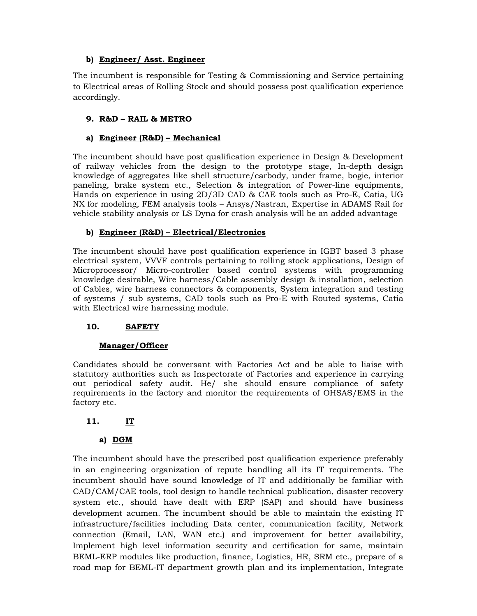#### b) Engineer/ Asst. Engineer

The incumbent is responsible for Testing & Commissioning and Service pertaining to Electrical areas of Rolling Stock and should possess post qualification experience accordingly.

## 9. R&D – RAIL & METRO

#### a) Engineer (R&D) – Mechanical

The incumbent should have post qualification experience in Design & Development of railway vehicles from the design to the prototype stage, In-depth design knowledge of aggregates like shell structure/carbody, under frame, bogie, interior paneling, brake system etc., Selection & integration of Power-line equipments, Hands on experience in using 2D/3D CAD & CAE tools such as Pro-E, Catia, UG NX for modeling, FEM analysis tools – Ansys/Nastran, Expertise in ADAMS Rail for vehicle stability analysis or LS Dyna for crash analysis will be an added advantage

#### b) Engineer (R&D) – Electrical/Electronics

The incumbent should have post qualification experience in IGBT based 3 phase electrical system, VVVF controls pertaining to rolling stock applications, Design of Microprocessor/ Micro-controller based control systems with programming knowledge desirable, Wire harness/Cable assembly design & installation, selection of Cables, wire harness connectors & components, System integration and testing of systems / sub systems, CAD tools such as Pro-E with Routed systems, Catia with Electrical wire harnessing module.

## 10. SAFETY

#### Manager/Officer

Candidates should be conversant with Factories Act and be able to liaise with statutory authorities such as Inspectorate of Factories and experience in carrying out periodical safety audit. He/ she should ensure compliance of safety requirements in the factory and monitor the requirements of OHSAS/EMS in the factory etc.

## 11. IT

## a) DGM

The incumbent should have the prescribed post qualification experience preferably in an engineering organization of repute handling all its IT requirements. The incumbent should have sound knowledge of IT and additionally be familiar with CAD/CAM/CAE tools, tool design to handle technical publication, disaster recovery system etc., should have dealt with ERP (SAP) and should have business development acumen. The incumbent should be able to maintain the existing IT infrastructure/facilities including Data center, communication facility, Network connection (Email, LAN, WAN etc.) and improvement for better availability, Implement high level information security and certification for same, maintain BEML-ERP modules like production, finance, Logistics, HR, SRM etc., prepare of a road map for BEML-IT department growth plan and its implementation, Integrate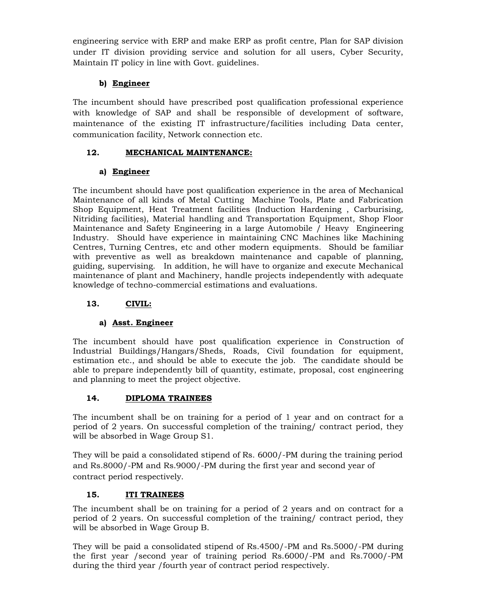engineering service with ERP and make ERP as profit centre, Plan for SAP division under IT division providing service and solution for all users, Cyber Security, Maintain IT policy in line with Govt. guidelines.

## b) Engineer

The incumbent should have prescribed post qualification professional experience with knowledge of SAP and shall be responsible of development of software, maintenance of the existing IT infrastructure/facilities including Data center, communication facility, Network connection etc.

## 12. MECHANICAL MAINTENANCE:

## a) Engineer

The incumbent should have post qualification experience in the area of Mechanical Maintenance of all kinds of Metal Cutting Machine Tools, Plate and Fabrication Shop Equipment, Heat Treatment facilities (Induction Hardening , Carburising, Nitriding facilities), Material handling and Transportation Equipment, Shop Floor Maintenance and Safety Engineering in a large Automobile / Heavy Engineering Industry. Should have experience in maintaining CNC Machines like Machining Centres, Turning Centres, etc and other modern equipments. Should be familiar with preventive as well as breakdown maintenance and capable of planning, guiding, supervising. In addition, he will have to organize and execute Mechanical maintenance of plant and Machinery, handle projects independently with adequate knowledge of techno-commercial estimations and evaluations.

## 13. CIVIL:

## a) Asst. Engineer

The incumbent should have post qualification experience in Construction of Industrial Buildings/Hangars/Sheds, Roads, Civil foundation for equipment, estimation etc., and should be able to execute the job. The candidate should be able to prepare independently bill of quantity, estimate, proposal, cost engineering and planning to meet the project objective.

## 14. DIPLOMA TRAINEES

The incumbent shall be on training for a period of 1 year and on contract for a period of 2 years. On successful completion of the training/ contract period, they will be absorbed in Wage Group S1.

They will be paid a consolidated stipend of Rs. 6000/-PM during the training period and Rs.8000/-PM and Rs.9000/-PM during the first year and second year of contract period respectively.

## 15. ITI TRAINEES

The incumbent shall be on training for a period of 2 years and on contract for a period of 2 years. On successful completion of the training/ contract period, they will be absorbed in Wage Group B.

They will be paid a consolidated stipend of Rs.4500/-PM and Rs.5000/-PM during the first year /second year of training period Rs.6000/-PM and Rs.7000/-PM during the third year /fourth year of contract period respectively.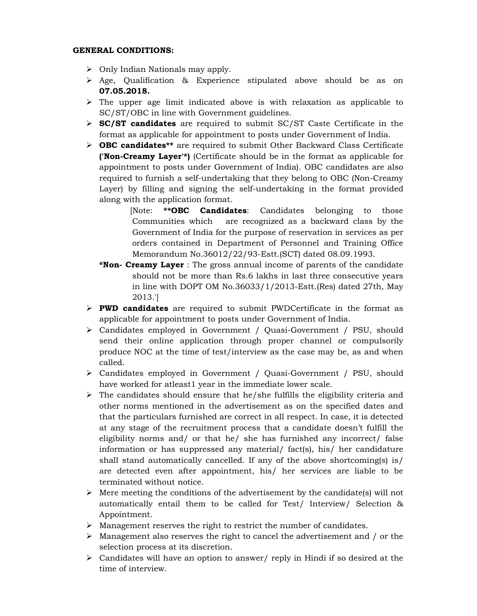#### GENERAL CONDITIONS:

- $\triangleright$  Only Indian Nationals may apply.
- $\triangleright$  Age, Qualification & Experience stipulated above should be as on 07.05.2018.
- $\triangleright$  The upper age limit indicated above is with relaxation as applicable to SC/ST/OBC in line with Government guidelines.
- $\triangleright$  **SC/ST candidates** are required to submit SC/ST Caste Certificate in the format as applicable for appointment to posts under Government of India.
- $\triangleright$  **OBC candidates\*\*** are required to submit Other Backward Class Certificate ('Non-Creamy Layer'\*) (Certificate should be in the format as applicable for appointment to posts under Government of India). OBC candidates are also required to furnish a self-undertaking that they belong to OBC (Non-Creamy Layer) by filling and signing the self-undertaking in the format provided along with the application format.

[Note: \*\*OBC Candidates: Candidates belonging to those Communities which are recognized as a backward class by the Government of India for the purpose of reservation in services as per orders contained in Department of Personnel and Training Office Memorandum No.36012/22/93-Estt.(SCT) dated 08.09.1993.

- \*Non- Creamy Layer : The gross annual income of parents of the candidate should not be more than Rs.6 lakhs in last three consecutive years in line with DOPT OM No.36033/1/2013-Estt.(Res) dated 27th, May 2013.']
- $\triangleright$  PWD candidates are required to submit PWDCertificate in the format as applicable for appointment to posts under Government of India.
- Candidates employed in Government / Quasi-Government / PSU, should send their online application through proper channel or compulsorily produce NOC at the time of test/interview as the case may be, as and when called.
- Candidates employed in Government / Quasi-Government / PSU, should have worked for atleast1 year in the immediate lower scale.
- $\triangleright$  The candidates should ensure that he/she fulfills the eligibility criteria and other norms mentioned in the advertisement as on the specified dates and that the particulars furnished are correct in all respect. In case, it is detected at any stage of the recruitment process that a candidate doesn't fulfill the eligibility norms and/ or that he/ she has furnished any incorrect/ false information or has suppressed any material  $/$  fact(s), his  $/$  her candidature shall stand automatically cancelled. If any of the above shortcoming(s) is/ are detected even after appointment, his/ her services are liable to be terminated without notice.
- $\triangleright$  Mere meeting the conditions of the advertisement by the candidate(s) will not automatically entail them to be called for Test/ Interview/ Selection & Appointment.
- $\triangleright$  Management reserves the right to restrict the number of candidates.
- $\triangleright$  Management also reserves the right to cancel the advertisement and / or the selection process at its discretion.
- $\triangleright$  Candidates will have an option to answer/ reply in Hindi if so desired at the time of interview.